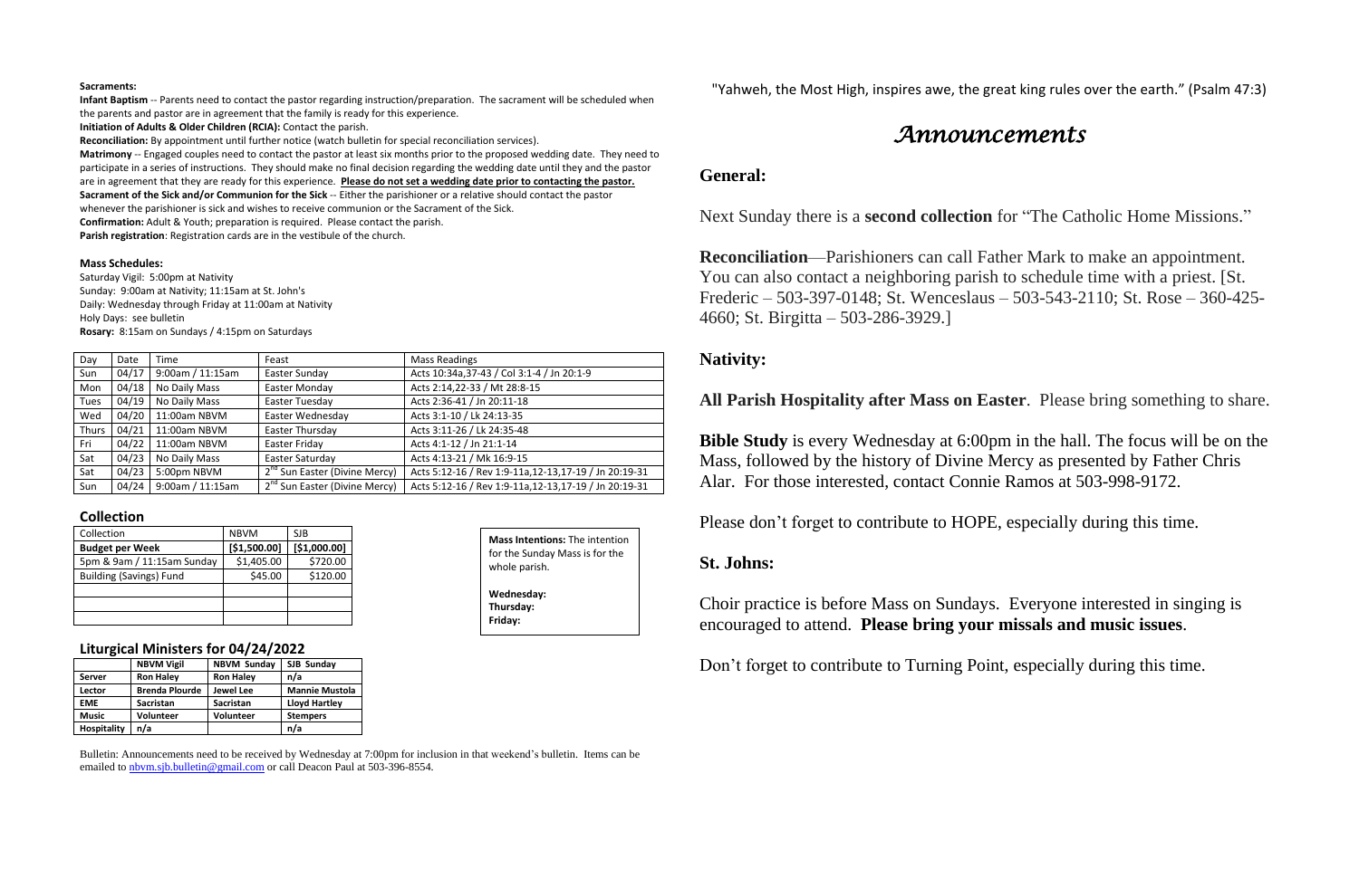#### **Sacraments:**

**Infant Baptism** -- Parents need to contact the pastor regarding instruction/preparation. The sacrament will be scheduled when the parents and pastor are in agreement that the family is ready for this experience.

**Initiation of Adults & Older Children (RCIA):** Contact the parish.

**Reconciliation:** By appointment until further notice (watch bulletin for special reconciliation services).

**Matrimony** -- Engaged couples need to contact the pastor at least six months prior to the proposed wedding date. They need to participate in a series of instructions. They should make no final decision regarding the wedding date until they and the pastor are in agreement that they are ready for this experience. **Please do not set a wedding date prior to contacting the pastor. Sacrament of the Sick and/or Communion for the Sick** -- Either the parishioner or a relative should contact the pastor

whenever the parishioner is sick and wishes to receive communion or the Sacrament of the Sick.

**Confirmation:** Adult & Youth; preparation is required. Please contact the parish.

**Parish registration**: Registration cards are in the vestibule of the church.

#### **Mass Schedules:**

Saturday Vigil: 5:00pm at Nativity Sunday: 9:00am at Nativity; 11:15am at St. John's Daily: Wednesday through Friday at 11:00am at Nativity Holy Days: see bulletin **Rosary:** 8:15am on Sundays / 4:15pm on Saturdays

| Day   | Date  | Time             | Feast                                     | <b>Mass Readings</b>                                   |
|-------|-------|------------------|-------------------------------------------|--------------------------------------------------------|
| Sun   | 04/17 | 9:00am / 11:15am | Easter Sunday                             | Acts 10:34a, 37-43 / Col 3:1-4 / Jn 20:1-9             |
| Mon   | 04/18 | No Daily Mass    | Easter Monday                             | Acts 2:14,22-33 / Mt 28:8-15                           |
| Tues  | 04/19 | No Daily Mass    | Easter Tuesday                            | Acts 2:36-41 / Jn 20:11-18                             |
| Wed   | 04/20 | 11:00am NBVM     | Easter Wednesday                          | Acts 3:1-10 / Lk 24:13-35                              |
| Thurs | 04/21 | 11:00am NBVM     | Easter Thursday                           | Acts 3:11-26 / Lk 24:35-48                             |
| Fri   | 04/22 | 11:00am NBVM     | Easter Friday                             | Acts 4:1-12 / Jn 21:1-14                               |
| Sat   | 04/23 | No Daily Mass    | Easter Saturday                           | Acts 4:13-21 / Mk 16:9-15                              |
| Sat   | 04/23 | 5:00pm NBVM      | 2 <sup>nd</sup> Sun Easter (Divine Mercy) | Acts 5:12-16 / Rev 1:9-11a, 12-13, 17-19 / Jn 20:19-31 |
| Sun   | 04/24 | 9:00am / 11:15am | 2 <sup>nd</sup> Sun Easter (Divine Mercy) | Acts 5:12-16 / Rev 1:9-11a, 12-13, 17-19 / Jn 20:19-31 |

### **Collection**

| Collection                     | <b>NBVM</b>  | SJB          |
|--------------------------------|--------------|--------------|
| <b>Budget per Week</b>         | [\$1,500.00] | [\$1,000.00] |
| 5pm & 9am / 11:15am Sunday     | \$1,405.00   | \$720.00     |
| <b>Building (Savings) Fund</b> | \$45.00      | \$120.00     |
|                                |              |              |
|                                |              |              |
|                                |              |              |

### **Liturgical Ministers for 04/24/2022**

|               | <b>NBVM Vigil</b>     | <b>NBVM Sunday</b> | SJB Sunday            |
|---------------|-----------------------|--------------------|-----------------------|
| <b>Server</b> | <b>Ron Haley</b>      | <b>Ron Haley</b>   | n/a                   |
| Lector        | <b>Brenda Plourde</b> | Jewel Lee          | <b>Mannie Mustola</b> |
| <b>EME</b>    | <b>Sacristan</b>      | <b>Sacristan</b>   | <b>Lloyd Hartley</b>  |
| <b>Music</b>  | <b>Volunteer</b>      | <b>Volunteer</b>   | <b>Stempers</b>       |
| Hospitality   | n/a                   |                    | n/a                   |

Bulletin: Announcements need to be received by Wednesday at 7:00pm for inclusion in that weekend's bulletin. Items can be emailed to [nbvm.sjb.bulletin@gmail.com](mailto:nbvm.sjb.bulletin@gmail.com) or call Deacon Paul at 503-396-8554.

"Yahweh, the Most High, inspires awe, the great king rules over the earth." (Psalm 47:3)

# *Announcements*

## **General:**

Next Sunday there is a **second collection** for "The Catholic Home Missions."

**Reconciliation**—Parishioners can call Father Mark to make an appointment. You can also contact a neighboring parish to schedule time with a priest. [St. Frederic – 503-397-0148; St. Wenceslaus – 503-543-2110; St. Rose – 360-425- 4660; St. Birgitta – 503-286-3929.]

# **Nativity:**

## **All Parish Hospitality after Mass on Easter**. Please bring something to share.

**Bible Study** is every Wednesday at 6:00pm in the hall. The focus will be on the Mass, followed by the history of Divine Mercy as presented by Father Chris Alar. For those interested, contact Connie Ramos at 503-998-9172.

Please don't forget to contribute to HOPE, especially during this time.

## **St. Johns:**

Choir practice is before Mass on Sundays. Everyone interested in singing is encouraged to attend. **Please bring your missals and music issues**.

Don't forget to contribute to Turning Point, especially during this time.

**Mass Intentions:** The intention for the Sunday Mass is for the whole parish. **Wednesday: Thursday: Friday:**